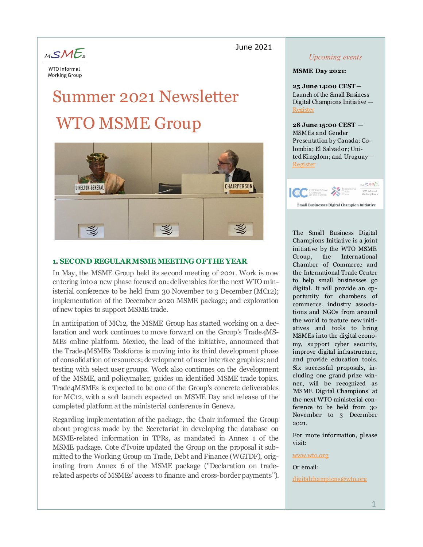#### June 2021



# Summer 2021 Newsletter WTO MSME Group



#### **1. SECOND REGULAR MSME MEETING OF THE YEAR**

In May, the MSME Group held its second meeting of 2021. Work is now entering into a new phase focused on: deliverables for the next WTO ministerial conference to be held from 30 November to 3 December (MC12); implementation of the December 2020 MSME package; and exploration of new topics to support MSME trade.

In anticipation of MC12, the MSME Group has started working on a declaration and work continues to move forward on the Group's Trade4MS-MEs online platform. Mexico, the lead of the initiative, announced that the Trade4MSMEs Taskforce is moving into its third development phase of consolidation of resources; development of user interface graphics; and testing with select user groups. Work also continues on the development of the MSME, and policymaker, guides on identified MSME trade topics. Trade4MSMEs is expected to be one of the Group's concrete deliverables for MC12, with a soft launch expected on MSME Day and release of the completed platform at the ministerial conference in Geneva.

Regarding implementation of the package, the Chair informed the Group about progress made by the Secretariat in developing the database on MSME-related information in TPRs, as mandated in Annex 1 of the MSME package. Cote d'Ivoire updated the Group on the proposal it submitted to the Working Group on Trade, Debt and Finance (WGTDF), originating from Annex 6 of the MSME package ("Declaration on traderelated aspects of MSMEs' access to finance and cross-border payments").

#### *Upcoming events*

#### **MSME Day 2021:**

**25 June 14:00 CEST**— Launch of the Small Business Digital Champions Initiative — [Register](https://worldtradeorganization.zoom.us/webinar/register/WN_Ih4oIZFiSuW7MPpGiNPkKA)

**28 June 15:00 CEST** — MSMEs and Gender Presentation by Canada; Colombia; El Salvador; Uni $ted$  Kingdom; and Uruguay  $-$ [Register](https://worldtradeorganization.zoom.us/webinar/register/WN_y3vFSvTnS8GOgJ_nB12dNw)



The Small Business Digital Champions Initiative is a joint initiative by the WTO MSME Group, the International Chamber of Commerce and the International Trade Center to help small businesses go digital. It will provide an opportunity for chambers of commerce, industry associations and NGOs from around the world to feature new initiatives and tools to bring MSMEs into the digital economy, support cyber security, improve digital infrastructure, and provide education tools. Six successful proposals, including one grand prize winner, will be recognized as 'MSME Digital Champions' at the next WTO ministerial conference to be held from 30 November to 3 December 2021.

For more information, please visit:

[www.wto.org](https://www.wto.org/english/tratop_e/msmesandtra_e/msmesandtra_e.htm)

#### Or email:

[digitalchampions@wto.org](mailto:digitalchampions@wto.org)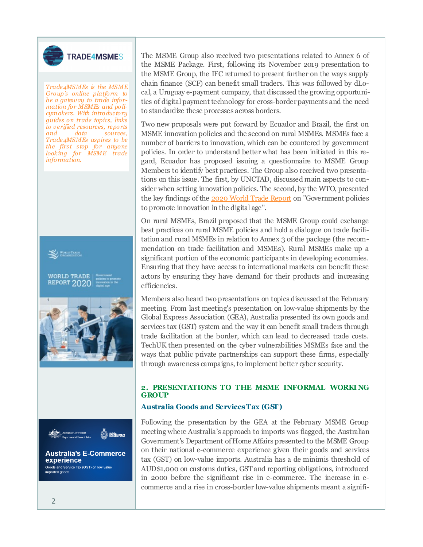

# **TRADE4MSMES**

*Trade4MSMEs is the MSME Group's online platform to be a gateway to trade information for MSMEs and policym akers. With introductory guides on trade topics, links to verified resources, reports and data sources, Trade4MSMEs aspires to be the first stop for anyone looking for MSME trade information.*



**Australia's E-Commerce** experience Goods and Service Tax (GST) on low value ported goods

Australian<br>BORDER FORCE

The MSME Group also received two presentations related to Annex 6 of the MSME Package. First, following its November 2019 presentation to the MSME Group, the IFC returned to present further on the ways supply chain finance (SCF) can benefit small traders. This was followed by dLocal, a Uruguay e-payment company, that discussed the growing opportunities of digital payment technology for cross-border payments and the need to standardize these processes across borders.

Two new proposals were put forward by Ecuador and Brazil, the first on MSME innovation policies and the second on rural MSMEs. MSMEs face a number of barriers to innovation, which can be countered by government policies. In order to understand better what has been initiated in this regard, Ecuador has proposed issuing a questionnaire to MSME Group Members to identify best practices. The Group also received two presentations on this issue. The first, by UNCTAD, discussed main aspects to consider when setting innovation policies. The second, by the WTO, presented the key findings of the [2020 World Trade Report](https://www.wto.org/english/res_e/publications_e/wtr20_e.htm) on "Government policies" to promote innovation in the digital age".

On rural MSMEs, Brazil proposed that the MSME Group could exchange best practices on rural MSME policies and hold a dialogue on trade facilitation and rural MSMEs in relation to Annex 3 of the package (the recommendation on trade facilitation and MSMEs). Rural MSMEs make up a significant portion of the economic participants in developing economies. Ensuring that they have access to international markets can benefit these actors by ensuring they have demand for their products and increasing efficiencies.

Members also heard two presentations on topics discussed at the February meeting. From last meeting's presentation on low-value shipments by the Global Express Association (GEA), Australia presented its own goods and services tax (GST) system and the way it can benefit small traders through trade facilitation at the border, which can lead to decreased trade costs. TechUK then presented on the cyber vulnerabilities MSMEs face and the ways that public private partnerships can support these firms, especially through awareness campaigns, to implement better cyber security.

#### **2. PRESENTATIONS TO THE MSME INFORMAL WORKI NG GROUP**

#### **Australia Goods and Services Tax (GST)**

Following the presentation by the GEA at the February MSME Group meeting where Australia's approach to imports was flagged, the Australian Government's Department of Home Affairs presented to the MSME Group on their national e-commerce experience given their goods and services tax (GST) on low-value imports. Australia has a de minimis threshold of AUD\$1,000 on customs duties, GST and reporting obligations, introduced in 2000 before the significant rise in e-commerce. The increase in ecommerce and a rise in cross-border low-value shipments meant a signifi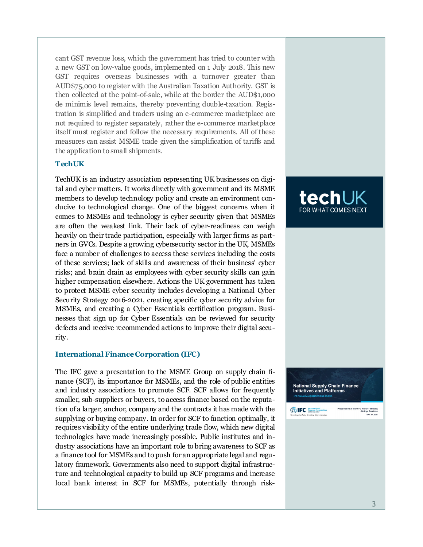cant GST revenue loss, which the government has tried to counter with a new GST on low-value goods, implemented on 1 July 2018. This new GST requires overseas businesses with a turnover greater than AUD\$75,000 to register with the Australian Taxation Authority. GST is then collected at the point -of-sale, while at the border the AUD\$1,000 de minimis level remains, thereby preventing double -taxation. Registration is simplified and traders using an e-commerce marketplace are not required to register separately, rather the e -commerce marketplace itself must register and follow the necessary requirements. All of these measures can assist MSME trade given the simplification of tariffs and the application to small shipments.

#### **TechUK**

TechUK is an industry association representing UK businesses on digital and cyber matters. It works directly with government and its MSME members to develop technology policy and create an environment conducive to technological change. One of the biggest concerns when it comes to MSMEs and technology is cyber security given that MSMEs are often the weakest link. Their lack of cyber-readiness can weigh heavily on their trade participation, especially with larger firms as partners in GVCs. Despite a growing cybersecurity sector in the UK, MSMEs face a number of challenges to access these services including the costs of these services; lack of skills and awareness of their business' cyber risks; and brain drain as employees with cyber security skills can gain higher compensation elsewhere. Actions the UK government has taken to protect MSME cyber security includes developing a National Cyber Security Strategy 2016-2021, creating specific cyber security advice for MSMEs, and creating a Cyber Essentials certification program. Businesses that sign up for Cyber Essentials can be reviewed for security defects and receive recommended actions to improve their digital security.

#### **International Finance Corporation (IFC)**

The IFC gave a presentation to the MSME Group on supply chain finance (SCF), its importance for MSMEs, and the role of public entities and industry associations to promote SCF. SCF allows for frequently smaller, sub -suppliers or buyers, to access finance based on the reputation of a larger, anchor, company and the contracts it has made with the supplying or buying company. In order for SCF to function optimally, it requires visibility of the entire underlying trade flow, which new digital technologies have made increasingly possible. Public institutes and industry associations have an important role to bring awareness to SCF as a finance tool for MSMEs and to push for an appropriate legal and regulatory framework. Governments also need to support digital infrastructure and technological capacity to build up SCF programs and increase local bank interest in SCF for MSMEs, potentially through risk-





**EDIFC** Enternation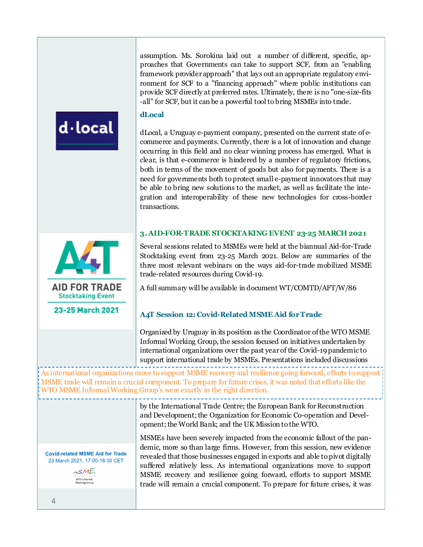assumption. Ms. Sorokina laid out a number of different, specific, approaches that Governments can take to support SCF, from an "enabling framework provider approach" that lays out an appropriate regulatory environment for SCF to a "financing approach" where public institutions can provide SCF directly at preferred rates. Ultimately, there is no "one-size-fits -all" for SCF, but it can be a powerful tool to bring MSMEs into trade.

#### **dLocal**

dLocal, a Uruguay e-payment company, presented on the current state of ecommerce and payments. Currently, there is a lot of innovation and change occurring in this field and no clear winning process has emerged. What is clear, is that e-commerce is hindered by a number of regulatory frictions, both in terms of the movement of goods but also for payments. There is a need for governments both to protect small e-payment innovators that may be able to bring new solutions to the market, as well as facilitate the integration and interoperability of these new technologies for cross-border transactions.

#### **3. AID-FOR-TRADE STOCKTAKING EVENT 23-25 MARCH 2021**



23-25 March 2021

d-local

Several sessions related to MSMEs were held at the biannual Aid-for-Trade Stocktaking event from 23-25 March 2021. Below are summaries of the three most relevant webinars on the ways aid-for-trade mobilized MSME trade-related resources during Covid-19.

A full summary will be available in document WT/COMTD/AFT/W/86

#### **A4T Session 12: Covid-Related MSME Aid for Trade**

Organized by Uruguay in its position as the Coordinator of the WTO MSME Informal Working Group, the session focused on initiatives undertaken by international organizations over the past year of the Covid-19 pandemic to support international trade by MSMEs. Presentations included discussions

As international organizations move to support MSME recovery and resilience going forward, efforts to support MSME trade will remain a crucial component. To prepare for future crises, it was noted that efforts like the WTO MSME Informal Working Group's were exactly in the right direction.

> by the International Trade Centre; the European Bank for Reconstruction and Development; the Organization for Economic Co-operation and Development; the World Bank; and the UK Mission to the WTO.

MSMEs have been severely impacted from the economic fallout of the pandemic, more so than large firms. However, from this session, new evidence revealed that those businesses engaged in exports and able to pivot digitally suffered relatively less. As international organizations move to support MSME recovery and resilience going forward, efforts to support MSME trade will remain a crucial component. To prepare for future crises, it was

**Covid-related MSME Aid for Trade** 23 March 2021, 17:00-18:30 CET

> MSME<sub>s</sub> WTO Informal<br>Working Group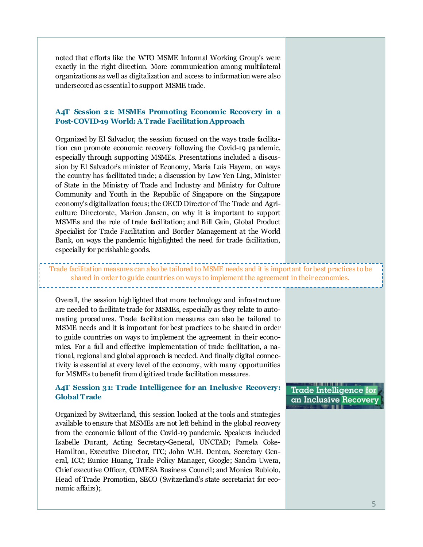noted that efforts like the WTO MSME Informal Working Group's were exactly in the right direction. More communication among multilateral organizations as well as digitalization and access to information were also underscored as essential to support MSME trade.

#### **A4T Session 21: MSMEs Promoting Economic Recovery in a Post-COVID-19 World: A Trade Facilitation Approach**

Organized by El Salvador, the session focused on the ways trade facilitation can promote economic recovery following the Covid-19 pandemic, especially through supporting MSMEs. Presentations included a discussion by El Salvador's minister of Economy, Maria Luis Hayem, on ways the country has facilitated trade; a discussion by Low Yen Ling, Minister of State in the Ministry of Trade and Industry and Ministry for Culture Community and Youth in the Republic of Singapore on the Singapore economy's digitalization focus; the OECD Director of The Trade and Agriculture Directorate, Marion Jansen, on why it is important to support MSMEs and the role of trade facilitation; and Bill Gain, Global Product Specialist for Trade Facilitation and Border Management at the World Bank, on ways the pandemic highlighted the need for trade facilitation, especially for perishable goods.

Trade facilitation measures can also be tailored to MSME needs and it is important for best practices to be shared in order to guide countries on ways to implement the agreement in their economies.

Overall, the session highlighted that more technology and infrastructure are needed to facilitate trade for MSMEs, especially as they relate to automating procedures. Trade facilitation measures can also be tailored to MSME needs and it is important for best practices to be shared in order to guide countries on ways to implement the agreement in their economies. For a full and effective implementation of trade facilitation, a national, regional and global approach is needed. And finally digital connectivity is essential at every level of the economy, with many opportunities for MSMEs to benefit from digitized trade facilitation measures.

#### **A4T Session 31: Trade Intelligence for an Inclusive Recovery: Global Trade**

Organized by Switzerland, this session looked at the tools and strategies available to ensure that MSMEs are not left behind in the global recovery from the economic fallout of the Covid-19 pandemic. Speakers included Isabelle Durant, Acting Secretary-General, UNCTAD; Pamela Coke-Hamilton, Executive Director, ITC; John W.H. Denton, Secretary General, ICC; Eunice Huang, Trade Policy Manager, Google; Sandra Uwera, Chief executive Officer, COMESA Business Council; and Monica Rubiolo, Head of Trade Promotion, SECO (Switzerland's state secretariat for economic affairs);.

# **Trade Intelligence for** an Inclusive Recovery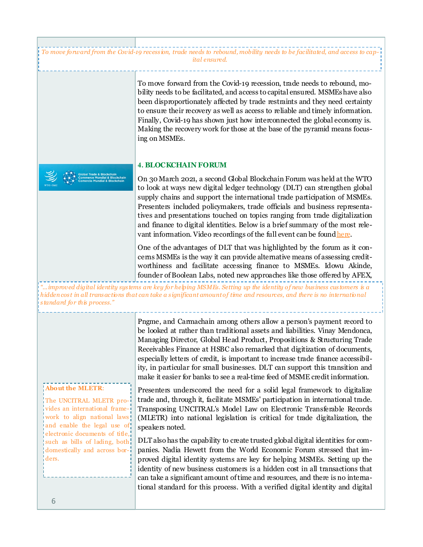*To move forward from the Covid-19 recession, trade needs to rebound, mobility needs to be facilitated, and access to capital ensured.*

> To move forward from the Covid-19 recession, trade needs to rebound, mobility needs to be facilitated, and access to capital ensured. MSMEs have also been disproportionately affected by trade restraints and they need certainty to ensure their recovery as well as access to reliable and timely information. Finally, Covid-19 has shown just how interconnected the global economy is. Making the recovery work for those at the base of the pyramid means focusing on MSMEs.

#### **4. BLOCKCHAIN FORUM**

On 30 March 2021, a second Global Blockchain Forum was held at the WTO to look at ways new digital ledger technology (DLT) can strengthen global supply chains and support the international trade participation of MSMEs. Presenters included policymakers, trade officials and business representatives and presentations touched on topics ranging from trade digitalization and finance to digital identities. Below is a brief summary of the most relevant information. Video recordings of the full event can be found [here.](https://www.wto.org/english/res_e/reser_e/blockchainforum2021_e.htm)

One of the advantages of DLT that was highlighted by the forum as it concerns MSMEs is the way it can provide alternative means of assessing creditworthiness and facilitate accessing finance to MSMEs. Idowu Akinde, founder of Boolean Labs, noted new approaches like those offered by AFEX,

*"...improved digital identity systems are key for helping MSMEs. Setting up the identity of new business customers is a hidden cost in all transactions that can take a significant amount of time and resources, and there is no international standard for this process."*

#### **About the MLETR**:

The UNCITRAL MLETR provides an international framework to align national laws and enable the legal use of electronic documents of title, such as bills of lading, both domestically and across borders.

Pngme, and Carmachain among others allow a person's payment record to be looked at rather than traditional assets and liabilities. Vinay Mendonca, Managing Director, Global Head Product, Propositions & Structuring Trade Receivables Finance at HSBC also remarked that digitization of documents, especially letters of credit, is important to increase trade finance accessibility, in particular for small businesses. DLT can support this transition and make it easier for banks to see a real-time feed of MSME credit information.

Presenters underscored the need for a solid legal framework to digitalize trade and, through it, facilitate MSMEs' participation in international trade. Transposing UNCITRAL's Model Law on Electronic Transferable Records (MLETR) into national legislation is critical for trade digitalization, the speakers noted.

DLT also has the capability to create trusted global digital identities for companies. Nadia Hewett from the World Economic Forum stressed that improved digital identity systems are key for helping MSMEs. Setting up the identity of new business customers is a hidden cost in all transactions that can take a significant amount of time and resources, and there is no international standard for this process. With a verified digital identity and digital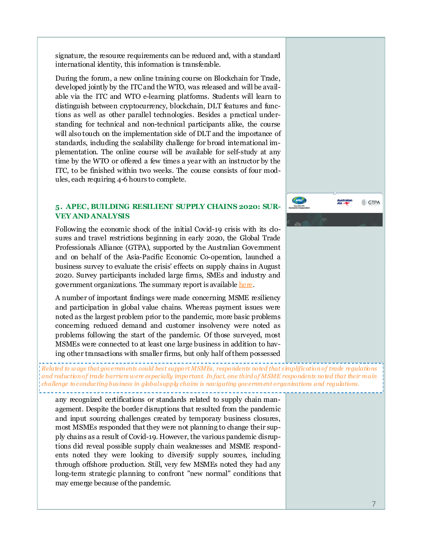signature, the resource requirements can be reduced and, with a standard international identity, this information is transferable.

During the forum, a new online training course on Blockchain for Trade, developed jointly by the ITC and the WTO, was released and will be available via the ITC and WTO e-learning platforms. Students will learn to distinguish between cryptocurrency, blockchain, DLT features and functions as well as other parallel technologies. Besides a practical understanding for technical and non-technical participants alike, the course will also touch on the implementation side of DLT and the importance of standards, including the scalability challenge for broad international implementation. The online course will be available for self-study at any time by the WTO or offered a few times a year with an instructor by the ITC, to be finished within two weeks. The course consists of four modules, each requiring 4-6 hours to complete.

#### **5. APEC, BUILDING RESILIENT SUPPLY CHAINS 2020: SUR-VEY AND ANALYSIS**

Following the economic shock of the initial Covid-19 crisis with its closures and travel restrictions beginning in early 2020, the Global Trade Professionals Alliance (GTPA), supported by the Australian Government and on behalf of the Asia-Pacific Economic Co-operation, launched a business survey to evaluate the crisis' effects on supply chains in August 2020. Survey participants included large firms, SMEs and industry and government organizations. The summary report is available [here.](http://mddb.apec.org/Documents/2021/CTI/CTI1/21_cti1_005.pdf)

A number of important findings were made concerning MSME resiliency and participation in global value chains. Whereas payment issues were noted as the largest problem prior to the pandemic, more basic problems concerning reduced demand and customer insolvency were noted as problems following the start of the pandemic. Of those surveyed, most MSMEs were connected to at least one large business in addition to having other transactions with smaller firms, but only half of them possessed

*Related to ways that governm ents could best support MSMEs, respondents noted that simplification of trade regulations and reduction of trade barriers were especially important. In fact, one third of MSME respondents noted that their m ain challenge to conducting business in globalsupply chains is navigating government organizations and regulations.* 

any recognized certifications or standards related to supply chain management. Despite the border disruptions that resulted from the pandemic and input sourcing challenges created by temporary business closures, most MSMEs responded that they were not planning to change their supply chains as a result of Covid-19. However, the various pandemic disruptions did reveal possible supply chain weaknesses and MSME respondents noted they were looking to diversify supply sources, including through offshore production. Still, very few MSMEs noted they had any long-term strategic planning to confront "new normal" conditions that may emerge because of the pandemic.

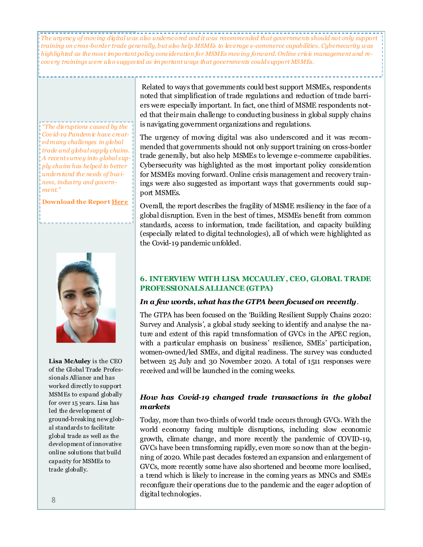*The urgency of moving digital was also underscored and it was recommended that governments should not only support training on cross-border trade generally, but also help MSMEs to leverage e-commerce capabilities. Cybersecurity was highlighted as the most important policy consideration for MSMEs moving forward. Online crisis management and recovery trainings were also suggested as im portant ways that governments could support MSMEs.* 

*"The disruptions caused by the Covid-19 Pandemic have created many challenges in global trade and global supply chains. A recent survey into global supply chains has helped to better understand the needs of business, industry and government."*

**Download the Report [Here](http://mddb.apec.org/Documents/2021/CTI/CTI1/21_cti1_005.pdf)**



**Lisa McAuley** is the CEO of the Global Trade Professionals Alliance and has worked directly to support MSMEs to expand globally for over 15 years. Lisa has led the development of ground-breaking new global standards to facilitate global trade as well as the development of innovative online solutions that build capacity for MSMEs to trade globally.

Related to ways that governments could best support MSMEs, respondents noted that simplification of trade regulations and reduction of trade barriers were especially important. In fact, one third of MSME respondents noted that their main challenge to conducting business in global supply chains is navigating government organizations and regulations.

The urgency of moving digital was also underscored and it was recommended that governments should not only support training on cross-border trade generally, but also help MSMEs to leverage e-commerce capabilities. Cybersecurity was highlighted as the most important policy consideration for MSMEs moving forward. Online crisis management and recovery trainings were also suggested as important ways that governments could support MSMEs.

Overall, the report describes the fragility of MSME resiliency in the face of a global disruption. Even in the best of times, MSMEs benefit from common standards, access to information, trade facilitation, and capacity building (especially related to digital technologies), all of which were highlighted as the Covid-19 pandemic unfolded.

#### **6. INTERVIEW WITH LISA MCCAULEY, CEO, GLOBAL TRADE PROFESSIONALS ALLIANCE (GTPA)**

#### *In a few words, what has the GTPA been focused on recently*.

The GTPA has been focused on the 'Building Resilient Supply Chains 2020: Survey and Analysis', a global study seeking to identify and analyse the nature and extent of this rapid transformation of GVCs in the APEC region, with a particular emphasis on business' resilience, SMEs' participation, women-owned/led SMEs, and digital readiness. The survey was conducted between 25 July and 30 November 2020. A total of 1511 responses were received and will be launched in the coming weeks.

#### *How has Covid-19 changed trade transactions in the global markets*

Today, more than two-thirds of world trade occurs through GVCs. With the world economy facing multiple disruptions, including slow economic growth, climate change, and more recently the pandemic of COVID-19, GVCs have been transforming rapidly, even more so now than at the beginning of 2020. While past decades fostered an expansion and enlargement of GVCs, more recently some have also shortened and become more localised, a trend which is likely to increase in the coming years as MNCs and SMEs reconfigure their operations due to the pandemic and the eager adoption of digital technologies.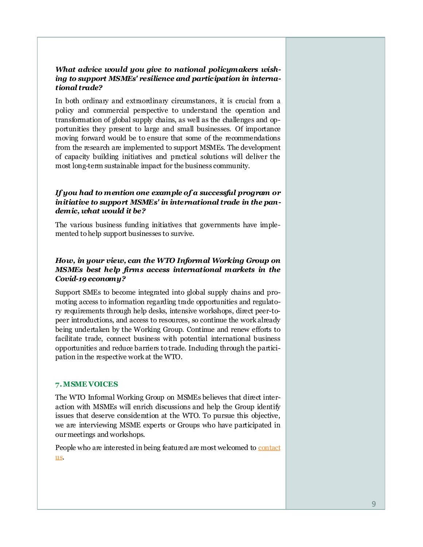#### *What advice would you give to national policymakers wishing to support MSMEs' resilience and participation in international trade?*

In both ordinary and extraordinary circumstances, it is crucial from a policy and commercial perspective to understand the operation and transformation of global supply chains, as well as the challenges and opportunities they present to large and small businesses. Of importance moving forward would be to ensure that some of the recommendations from the research are implemented to support MSMEs. The development of capacity building initiatives and practical solutions will deliver the most long-term sustainable impact for the business community.

#### *If you had to mention one example of a successful program or initiative to support MSMEs' in international trade in the pandemic, what would it be?*

The various business funding initiatives that governments have implemented to help support businesses to survive.

#### *How, in your view, can the WTO Informal Working Group on MSMEs best help firms access international markets in the Covid-19 economy?*

Support SMEs to become integrated into global supply chains and promoting access to information regarding trade opportunities and regulatory requirements through help desks, intensive workshops, direct peer-topeer introductions, and access to resources, so continue the work already being undertaken by the Working Group. Continue and renew efforts to facilitate trade, connect business with potential international business opportunities and reduce barriers to trade. Including through the participation in the respective work at the WTO.

#### **7. MSME VOICES**

The WTO Informal Working Group on MSMEs believes that direct interaction with MSMEs will enrich discussions and help the Group identify issues that deserve consideration at the WTO. To pursue this objective, we are interviewing MSME experts or Groups who have participated in our meetings and workshops.

People who are interested in being featured are most welcomed to [contact](mailto:email-ersd@wto.org)  [us.](mailto:email-ersd@wto.org)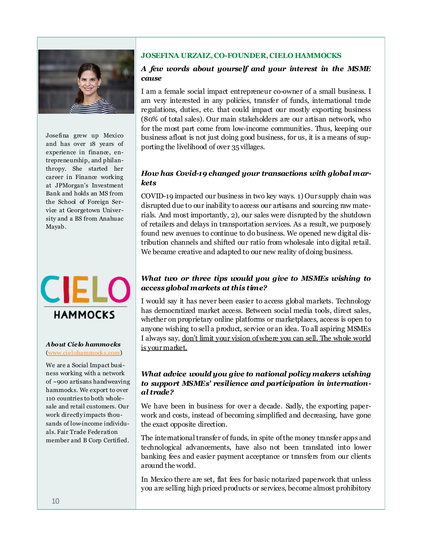

Josefina grew up Mexico and has over 18 years of experience in finance, entrepreneurship, and philanthropy. She started her career in Finance working at JPMorgan's Investment Bank and holds an MS from the School of Foreign Service at Georgetown University and a BS from Anahuac Mayab.



#### *About Cielo hammocks* ([www.cielohammocks.com\)](http://www.cielohammocks.com)

We are a Social Impact business working with a network of ~900 artisans handweaving hammocks. We export to over 110 countries to both wholesale and retail customers. Our work directly impacts thousands of low-income individuals. Fair Trade Federation member and B Corp Certified.

#### **JOSEFINA URZAIZ, CO-FOUNDER, CIELO HAMMOCKS**

#### *A few words about yourself and your interest in the MSME cause*

I am a female social impact entrepreneur co-owner of a small business. I am very interested in any policies, transfer of funds, international trade regulations, duties, etc. that could impact our mostly exporting business (80% of total sales). Our main stakeholders are our artisan network, who for the most part come from low-income communities. Thus, keeping our business afloat is not just doing good business, for us, it is a means of supporting the livelihood of over 35 villages.

#### *How has Covid-19 changed your transactions with global markets*

COVID-19 impacted our business in two key ways. 1) Our supply chain was disrupted due to our inability to access our artisans and sourcing raw materials. And most importantly, 2), our sales were disrupted by the shutdown of retailers and delays in transportation services. As a result, we purposely found new avenues to continue to do business. We opened new digital distribution channels and shifted our ratio from wholesale into digital retail. We became creative and adapted to our new reality of doing business.

#### *What two or three tips would you give to MSMEs wishing to access global markets at this time?*

I would say it has never been easier to access global markets. Technology has democratized market access. Between social media tools, direct sales, whether on proprietary online platforms or marketplaces, access is open to anyone wishing to sell a product, service or an idea. To all aspiring MSMEs I always say, don't limit your vision of where you can sell. The whole world is your market.

#### *What advice would you give to national policy makers wishing to support MSMEs' resilience and participation in international trade?*

We have been in business for over a decade. Sadly, the exporting paperwork and costs, instead of becoming simplified and decreasing, have gone the exact opposite direction.

The international transfer of funds, in spite of the money transfer apps and technological advancements, have also not been translated into lower banking fees and easier payment acceptance or transfers from our clients around the world.

In Mexico there are set, flat fees for basic notarized paperwork that unless you are selling high priced products or services, become almost prohibitory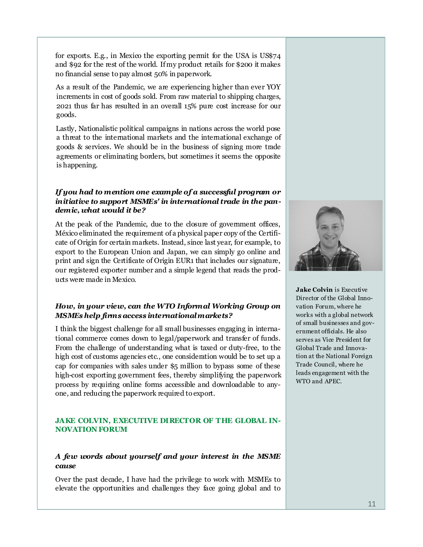for exports. E.g., in Mexico the exporting permit for the USA is US\$74 and \$92 for the rest of the world. If my product retails for \$200 it makes no financial sense to pay almost 50% in paperwork.

As a result of the Pandemic, we are experiencing higher than ever YOY increments in cost of goods sold. From raw material to shipping charges, 2021 thus far has resulted in an overall 15% pure cost increase for our goods.

Lastly, Nationalistic political campaigns in nations across the world pose a threat to the international markets and the international exchange of goods & services. We should be in the business of signing more trade agreements or eliminating borders, but sometimes it seems the opposite is happening.

#### *If you had to mention one example of a successful program or initiative to support MSMEs' in international trade in the pandemic, what would it be?*

At the peak of the Pandemic, due to the closure of government offices, México eliminated the requirement of a physical paper copy of the Certificate of Origin for certain markets. Instead, since last year, for example, to export to the European Union and Japan, we can simply go online and print and sign the Certificate of Origin EUR1 that includes our signature, our registered exporter number and a simple legend that reads the products were made in Mexico.

#### *How, in your view, can the WTO Informal Working Group on MSMEs help firms access international markets?*

I think the biggest challenge for all small businesses engaging in international commerce comes down to legal/paperwork and transfer of funds. From the challenge of understanding what is taxed or duty-free, to the high cost of customs agencies etc., one consideration would be to set up a cap for companies with sales under \$5 million to bypass some of these high-cost exporting government fees, thereby simplifying the paperwork process by requiring online forms accessible and downloadable to anyone, and reducing the paperwork required to export.

#### **JAKE COLVIN, EXECUTIVE DIRECTOR OF THE GLOBAL IN-NOVATION FORUM**

#### *A few words about yourself and your interest in the MSME cause*

Over the past decade, I have had the privilege to work with MSMEs to elevate the opportunities and challenges they face going global and to



**Jake Colvin** is Executive Director of the Global Innovation Forum, where he works with a global network of small businesses and government officials. He also serves as Vice President for Global Trade and Innovation at the National Foreign Trade Council, where he leads engagement with the WTO and APEC.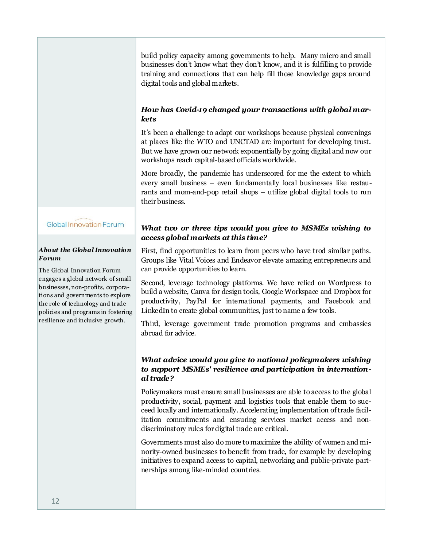build policy capacity among governments to help. Many micro and small businesses don't know what they don't know, and it is fulfilling to provide training and connections that can help fill those knowledge gaps around digital tools and global markets.

#### *How has Covid-19 changed your transactions with global markets*

It's been a challenge to adapt our workshops because physical convenings at places like the WTO and UNCTAD are important for developing trust. But we have grown our network exponentially by going digital and now our workshops reach capital-based officials worldwide.

More broadly, the pandemic has underscored for me the extent to which every small business – even fundamentally local businesses like restaurants and mom-and-pop retail shops – utilize global digital tools to run their business.

#### Global Innovation Forum

#### *About the Global Innovation Forum*

The Global Innovation Forum engages a global network of small businesses, non-profits, corporations and governments to explore the role of technology and trade policies and programs in fostering resilience and inclusive growth.

#### *What two or three tips would you give to MSMEs wishing to access global markets at this time?*

First, find opportunities to learn from peers who have trod similar paths. Groups like Vital Voices and Endeavor elevate amazing entrepreneurs and can provide opportunities to learn.

Second, leverage technology platforms. We have relied on Wordpress to build a website, Canva for design tools, Google Workspace and Dropbox for productivity, PayPal for international payments, and Facebook and LinkedIn to create global communities, just to name a few tools.

Third, leverage government trade promotion programs and embassies abroad for advice.

#### *What advice would you give to national policymakers wishing to support MSMEs' resilience and participation in international trade?*

Policymakers must ensure small businesses are able to access to the global productivity, social, payment and logistics tools that enable them to succeed locally and internationally. Accelerating implementation of trade facilitation commitments and ensuring services market access and nondiscriminatory rules for digital trade are critical.

Governments must also do more to maximize the ability of women and minority-owned businesses to benefit from trade, for example by developing initiatives to expand access to capital, networking and public-private partnerships among like-minded countries.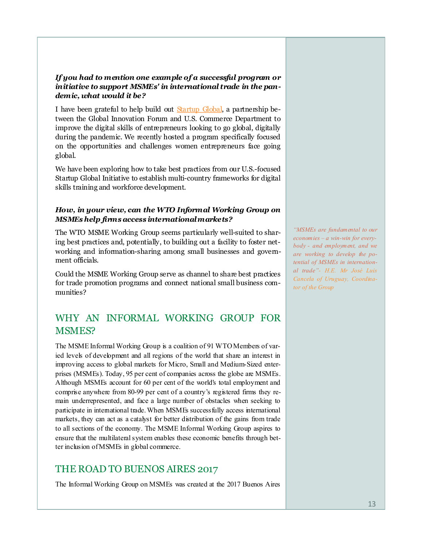#### *If you had to mention one example of a successful program or initiative to support MSMEs' in international trade in the pandemic, what would it be?*

I have been grateful to help build out **Startup Global**, a partnership between the Global Innovation Forum and U.S. Commerce Department to improve the digital skills of entrepreneurs looking to go global, digitally during the pandemic. We recently hosted a program specifically focused on the opportunities and challenges women entrepreneurs face going global.

We have been exploring how to take best practices from our U.S.-focused Startup Global Initiative to establish multi-country frameworks for digital skills training and workforce development.

#### *How, in your view, can the WTO Informal Working Group on MSMEs help firms access international markets?*

The WTO MSME Working Group seems particularly well-suited to sharing best practices and, potentially, to building out a facility to foster networking and information-sharing among small businesses and government officials.

Could the MSME Working Group serve as channel to share best practices for trade promotion programs and connect national small business communities?

## WHY AN INFORMAL WORKING GROUP FOR MSMES?

The MSME Informal Working Group is a coalition of 91 WTO Members of varied levels of development and all regions of the world that share an interest in improving access to global markets for Micro, Small and Medium-Sized enterprises (MSMEs). Today, 95 per cent of companies across the globe are MSMEs. Although MSMEs account for 60 per cent of the world's total employment and comprise anywhere from 80-99 per cent of a country's registered firms they remain underrepresented, and face a large number of obstacles when seeking to participate in international trade. When MSMEs successfully access international markets, they can act as a catalyst for better distribution of the gains from trade to all sections of the economy. The MSME Informal Working Group aspires to ensure that the multilateral system enables these economic benefits through better inclusion of MSMEs in global commerce.

## THE ROAD TO BUENOS AIRES 2017

The Informal Working Group on MSMEs was created at the 2017 Buenos Aires

*"MSMEs are fundamental to our economies – a win-win for everybody - and employment, and we are working to develop the potential of MSMEs in international trade"- H.E. Mr José Luis Cancela of Uruguay, Coordinator of the Group*